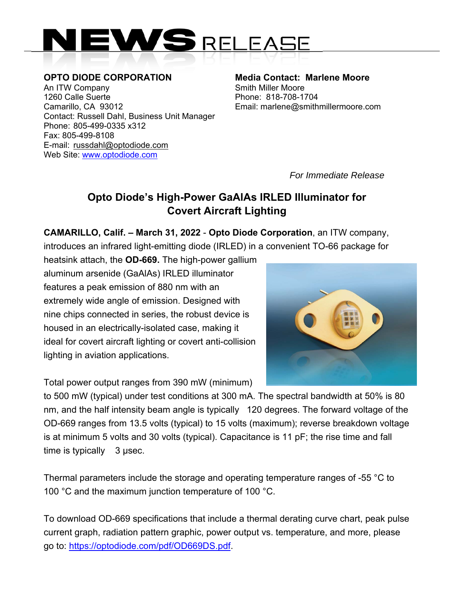

**OPTO DIODE CORPORATION Media Contact: Marlene Moore**<br>An ITW Company **Married Contact: Smith Miller Moore** An ITW Company 1260 Calle Suerte Phone: 818-708-1704 Camarillo, CA 93012 Email: marlene@smithmillermoore.com Contact: Russell Dahl, Business Unit Manager Phone: 805-499-0335 x312 Fax: 805-499-8108 E-mail: russdahl@optodiode.com Web Site: www.optodiode.com

*For Immediate Release*

## **Opto Diode's High-Power GaAlAs IRLED Illuminator for Covert Aircraft Lighting**

**CAMARILLO, Calif. – March 31, 2022** - **Opto Diode Corporation**, an ITW company, introduces an infrared light-emitting diode (IRLED) in a convenient TO-66 package for

heatsink attach, the **OD-669.** The high-power gallium aluminum arsenide (GaAlAs) IRLED illuminator features a peak emission of 880 nm with an extremely wide angle of emission. Designed with nine chips connected in series, the robust device is housed in an electrically-isolated case, making it ideal for covert aircraft lighting or covert anti-collision lighting in aviation applications.



Total power output ranges from 390 mW (minimum)

to 500 mW (typical) under test conditions at 300 mA. The spectral bandwidth at 50% is 80 nm, and the half intensity beam angle is typically 120 degrees. The forward voltage of the OD-669 ranges from 13.5 volts (typical) to 15 volts (maximum); reverse breakdown voltage is at minimum 5 volts and 30 volts (typical). Capacitance is 11 pF; the rise time and fall time is typically 3 usec.

Thermal parameters include the storage and operating temperature ranges of -55 °C to 100 °C and the maximum junction temperature of 100 °C.

To download OD-669 specifications that include a thermal derating curve chart, peak pulse current graph, radiation pattern graphic, power output vs. temperature, and more, please go to: https://optodiode.com/pdf/OD669DS.pdf.